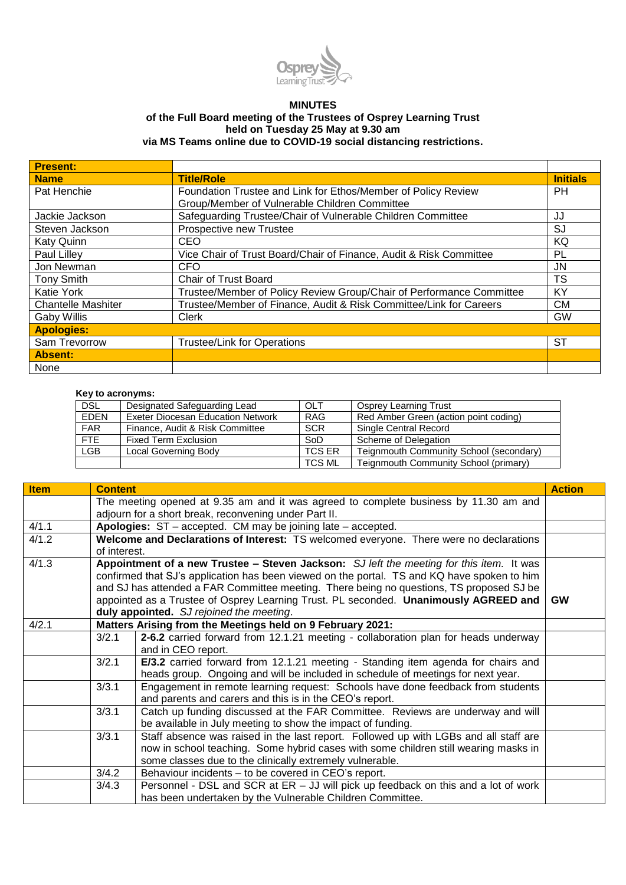

## **MINUTES**

## **of the Full Board meeting of the Trustees of Osprey Learning Trust held on Tuesday 25 May at 9.30 am via MS Teams online due to COVID-19 social distancing restrictions.**

| <b>Present:</b>           |                                                                      |                 |
|---------------------------|----------------------------------------------------------------------|-----------------|
| <b>Name</b>               | <b>Title/Role</b>                                                    | <b>Initials</b> |
| Pat Henchie               | Foundation Trustee and Link for Ethos/Member of Policy Review        | <b>PH</b>       |
|                           | Group/Member of Vulnerable Children Committee                        |                 |
| Jackie Jackson            | Safeguarding Trustee/Chair of Vulnerable Children Committee          | JJ              |
| Steven Jackson            | Prospective new Trustee                                              | SJ              |
| <b>Katy Quinn</b>         | CEO                                                                  | ΚQ              |
| Paul Lilley               | Vice Chair of Trust Board/Chair of Finance, Audit & Risk Committee   | PL              |
| Jon Newman                | CFO                                                                  | JN.             |
| <b>Tony Smith</b>         | <b>Chair of Trust Board</b>                                          | TS              |
| <b>Katie York</b>         | Trustee/Member of Policy Review Group/Chair of Performance Committee | KY              |
| <b>Chantelle Mashiter</b> | Trustee/Member of Finance, Audit & Risk Committee/Link for Careers   | CМ              |
| Gaby Willis               | <b>Clerk</b>                                                         | <b>GW</b>       |
| <b>Apologies:</b>         |                                                                      |                 |
| Sam Trevorrow             | <b>Trustee/Link for Operations</b>                                   | SТ              |
| Absent:                   |                                                                      |                 |
| None                      |                                                                      |                 |

## **Key to acronyms:**

| $1107100$ avivirging. |                                          |               |                                         |  |  |
|-----------------------|------------------------------------------|---------------|-----------------------------------------|--|--|
| <b>DSL</b>            | Designated Safeguarding Lead             | OLT           | <b>Osprey Learning Trust</b>            |  |  |
| <b>EDEN</b>           | <b>Exeter Diocesan Education Network</b> | <b>RAG</b>    | Red Amber Green (action point coding)   |  |  |
| <b>FAR</b>            | Finance, Audit & Risk Committee          | <b>SCR</b>    | <b>Single Central Record</b>            |  |  |
| <b>FTE</b>            | <b>Fixed Term Exclusion</b>              | SoD           | Scheme of Delegation                    |  |  |
| <b>LGB</b>            | <b>Local Governing Body</b>              | <b>TCS ER</b> | Teignmouth Community School (secondary) |  |  |
|                       |                                          | TCS ML        | Teignmouth Community School (primary)   |  |  |

| <b>Item</b> | <b>Content</b> |                                                                                                                                                                                                                                                                                                                                                                                                                         | <b>Action</b> |
|-------------|----------------|-------------------------------------------------------------------------------------------------------------------------------------------------------------------------------------------------------------------------------------------------------------------------------------------------------------------------------------------------------------------------------------------------------------------------|---------------|
|             |                | The meeting opened at 9.35 am and it was agreed to complete business by 11.30 am and                                                                                                                                                                                                                                                                                                                                    |               |
|             |                | adjourn for a short break, reconvening under Part II.                                                                                                                                                                                                                                                                                                                                                                   |               |
| 4/1.1       |                | Apologies: ST - accepted. CM may be joining late - accepted.                                                                                                                                                                                                                                                                                                                                                            |               |
| 4/1.2       | of interest.   | Welcome and Declarations of Interest: TS welcomed everyone. There were no declarations                                                                                                                                                                                                                                                                                                                                  |               |
| 4/1.3       |                | Appointment of a new Trustee - Steven Jackson: SJ left the meeting for this item. It was<br>confirmed that SJ's application has been viewed on the portal. TS and KQ have spoken to him<br>and SJ has attended a FAR Committee meeting. There being no questions, TS proposed SJ be<br>appointed as a Trustee of Osprey Learning Trust. PL seconded. Unanimously AGREED and<br>duly appointed. SJ rejoined the meeting. | <b>GW</b>     |
| 4/2.1       |                | Matters Arising from the Meetings held on 9 February 2021:                                                                                                                                                                                                                                                                                                                                                              |               |
|             | 3/2.1          | 2-6.2 carried forward from 12.1.21 meeting - collaboration plan for heads underway<br>and in CEO report.                                                                                                                                                                                                                                                                                                                |               |
|             | 3/2.1          | E/3.2 carried forward from 12.1.21 meeting - Standing item agenda for chairs and<br>heads group. Ongoing and will be included in schedule of meetings for next year.                                                                                                                                                                                                                                                    |               |
|             | 3/3.1          | Engagement in remote learning request: Schools have done feedback from students<br>and parents and carers and this is in the CEO's report.                                                                                                                                                                                                                                                                              |               |
|             | 3/3.1          | Catch up funding discussed at the FAR Committee. Reviews are underway and will<br>be available in July meeting to show the impact of funding.                                                                                                                                                                                                                                                                           |               |
|             | 3/3.1          | Staff absence was raised in the last report. Followed up with LGBs and all staff are<br>now in school teaching. Some hybrid cases with some children still wearing masks in<br>some classes due to the clinically extremely vulnerable.                                                                                                                                                                                 |               |
|             | 3/4.2          | Behaviour incidents - to be covered in CEO's report.                                                                                                                                                                                                                                                                                                                                                                    |               |
|             | 3/4.3          | Personnel - DSL and SCR at ER - JJ will pick up feedback on this and a lot of work<br>has been undertaken by the Vulnerable Children Committee.                                                                                                                                                                                                                                                                         |               |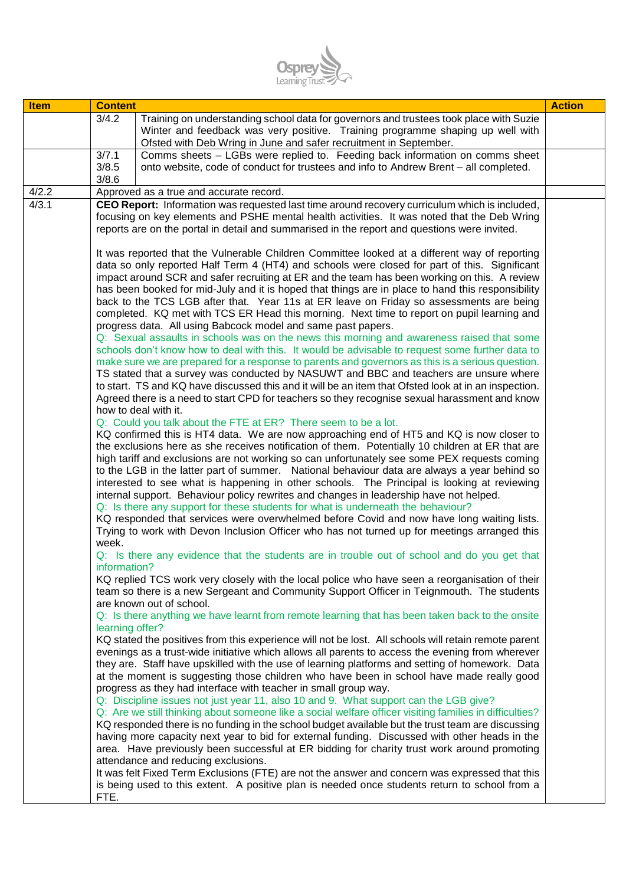

| <b>Item</b> | <b>Content</b>        |                                                                                                                                                                                                                                                                                                                                                                                                                                                                                                                                                                                                                                                                                                                                                                                                                                                                                                                                                                                                                                                                                                                                                                                                                                                                                                                                                                                                                                                                                                                                                                                                                                                                                                                                                                                                                                                                                                                                                                                                                                                                                                                                        | <b>Action</b> |
|-------------|-----------------------|----------------------------------------------------------------------------------------------------------------------------------------------------------------------------------------------------------------------------------------------------------------------------------------------------------------------------------------------------------------------------------------------------------------------------------------------------------------------------------------------------------------------------------------------------------------------------------------------------------------------------------------------------------------------------------------------------------------------------------------------------------------------------------------------------------------------------------------------------------------------------------------------------------------------------------------------------------------------------------------------------------------------------------------------------------------------------------------------------------------------------------------------------------------------------------------------------------------------------------------------------------------------------------------------------------------------------------------------------------------------------------------------------------------------------------------------------------------------------------------------------------------------------------------------------------------------------------------------------------------------------------------------------------------------------------------------------------------------------------------------------------------------------------------------------------------------------------------------------------------------------------------------------------------------------------------------------------------------------------------------------------------------------------------------------------------------------------------------------------------------------------------|---------------|
|             | 3/4.2                 | Training on understanding school data for governors and trustees took place with Suzie<br>Winter and feedback was very positive. Training programme shaping up well with<br>Ofsted with Deb Wring in June and safer recruitment in September.                                                                                                                                                                                                                                                                                                                                                                                                                                                                                                                                                                                                                                                                                                                                                                                                                                                                                                                                                                                                                                                                                                                                                                                                                                                                                                                                                                                                                                                                                                                                                                                                                                                                                                                                                                                                                                                                                          |               |
|             | 3/7.1                 | Comms sheets - LGBs were replied to. Feeding back information on comms sheet                                                                                                                                                                                                                                                                                                                                                                                                                                                                                                                                                                                                                                                                                                                                                                                                                                                                                                                                                                                                                                                                                                                                                                                                                                                                                                                                                                                                                                                                                                                                                                                                                                                                                                                                                                                                                                                                                                                                                                                                                                                           |               |
|             | 3/8.5<br>3/8.6        | onto website, code of conduct for trustees and info to Andrew Brent - all completed.                                                                                                                                                                                                                                                                                                                                                                                                                                                                                                                                                                                                                                                                                                                                                                                                                                                                                                                                                                                                                                                                                                                                                                                                                                                                                                                                                                                                                                                                                                                                                                                                                                                                                                                                                                                                                                                                                                                                                                                                                                                   |               |
| 4/2.2       |                       | Approved as a true and accurate record.                                                                                                                                                                                                                                                                                                                                                                                                                                                                                                                                                                                                                                                                                                                                                                                                                                                                                                                                                                                                                                                                                                                                                                                                                                                                                                                                                                                                                                                                                                                                                                                                                                                                                                                                                                                                                                                                                                                                                                                                                                                                                                |               |
| 4/3.1       |                       | CEO Report: Information was requested last time around recovery curriculum which is included,<br>focusing on key elements and PSHE mental health activities. It was noted that the Deb Wring<br>reports are on the portal in detail and summarised in the report and questions were invited.                                                                                                                                                                                                                                                                                                                                                                                                                                                                                                                                                                                                                                                                                                                                                                                                                                                                                                                                                                                                                                                                                                                                                                                                                                                                                                                                                                                                                                                                                                                                                                                                                                                                                                                                                                                                                                           |               |
|             |                       | It was reported that the Vulnerable Children Committee looked at a different way of reporting<br>data so only reported Half Term 4 (HT4) and schools were closed for part of this. Significant<br>impact around SCR and safer recruiting at ER and the team has been working on this. A review<br>has been booked for mid-July and it is hoped that things are in place to hand this responsibility<br>back to the TCS LGB after that. Year 11s at ER leave on Friday so assessments are being<br>completed. KQ met with TCS ER Head this morning. Next time to report on pupil learning and<br>progress data. All using Babcock model and same past papers.<br>Q: Sexual assaults in schools was on the news this morning and awareness raised that some<br>schools don't know how to deal with this. It would be advisable to request some further data to<br>make sure we are prepared for a response to parents and governors as this is a serious question.<br>TS stated that a survey was conducted by NASUWT and BBC and teachers are unsure where<br>to start. TS and KQ have discussed this and it will be an item that Ofsted look at in an inspection.<br>Agreed there is a need to start CPD for teachers so they recognise sexual harassment and know<br>how to deal with it.<br>Q: Could you talk about the FTE at ER? There seem to be a lot.<br>KQ confirmed this is HT4 data. We are now approaching end of HT5 and KQ is now closer to<br>the exclusions here as she receives notification of them. Potentially 10 children at ER that are<br>high tariff and exclusions are not working so can unfortunately see some PEX requests coming<br>to the LGB in the latter part of summer. National behaviour data are always a year behind so<br>interested to see what is happening in other schools. The Principal is looking at reviewing<br>internal support. Behaviour policy rewrites and changes in leadership have not helped.<br>Q: Is there any support for these students for what is underneath the behaviour?<br>KQ responded that services were overwhelmed before Covid and now have long waiting lists. |               |
|             | week.<br>information? | Trying to work with Devon Inclusion Officer who has not turned up for meetings arranged this<br>Q: Is there any evidence that the students are in trouble out of school and do you get that<br>KQ replied TCS work very closely with the local police who have seen a reorganisation of their<br>team so there is a new Sergeant and Community Support Officer in Teignmouth. The students                                                                                                                                                                                                                                                                                                                                                                                                                                                                                                                                                                                                                                                                                                                                                                                                                                                                                                                                                                                                                                                                                                                                                                                                                                                                                                                                                                                                                                                                                                                                                                                                                                                                                                                                             |               |
|             | learning offer?       | are known out of school.<br>Q: Is there anything we have learnt from remote learning that has been taken back to the onsite                                                                                                                                                                                                                                                                                                                                                                                                                                                                                                                                                                                                                                                                                                                                                                                                                                                                                                                                                                                                                                                                                                                                                                                                                                                                                                                                                                                                                                                                                                                                                                                                                                                                                                                                                                                                                                                                                                                                                                                                            |               |
|             |                       | KQ stated the positives from this experience will not be lost. All schools will retain remote parent<br>evenings as a trust-wide initiative which allows all parents to access the evening from wherever<br>they are. Staff have upskilled with the use of learning platforms and setting of homework. Data<br>at the moment is suggesting those children who have been in school have made really good<br>progress as they had interface with teacher in small group way.<br>Q: Discipline issues not just year 11, also 10 and 9. What support can the LGB give?<br>Q: Are we still thinking about someone like a social welfare officer visiting families in difficulties?<br>KQ responded there is no funding in the school budget available but the trust team are discussing<br>having more capacity next year to bid for external funding. Discussed with other heads in the<br>area. Have previously been successful at ER bidding for charity trust work around promoting<br>attendance and reducing exclusions.                                                                                                                                                                                                                                                                                                                                                                                                                                                                                                                                                                                                                                                                                                                                                                                                                                                                                                                                                                                                                                                                                                              |               |
|             | FTE.                  | It was felt Fixed Term Exclusions (FTE) are not the answer and concern was expressed that this<br>is being used to this extent. A positive plan is needed once students return to school from a                                                                                                                                                                                                                                                                                                                                                                                                                                                                                                                                                                                                                                                                                                                                                                                                                                                                                                                                                                                                                                                                                                                                                                                                                                                                                                                                                                                                                                                                                                                                                                                                                                                                                                                                                                                                                                                                                                                                        |               |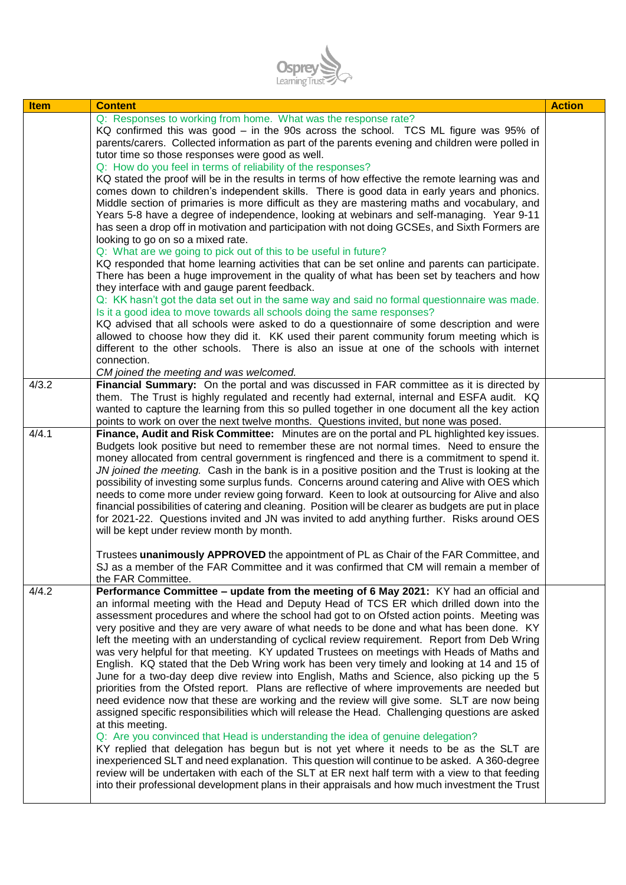

| <b>Item</b> | <b>Content</b>                                                                                                                                                                                                                                                                                                                                                                                                                                                                                                                                                                                                                                                                                                                                                                                                                                                                                                                                                                                                                                                                                                                                                                                                                                                                                                                                                                                                                                                               | <b>Action</b> |
|-------------|------------------------------------------------------------------------------------------------------------------------------------------------------------------------------------------------------------------------------------------------------------------------------------------------------------------------------------------------------------------------------------------------------------------------------------------------------------------------------------------------------------------------------------------------------------------------------------------------------------------------------------------------------------------------------------------------------------------------------------------------------------------------------------------------------------------------------------------------------------------------------------------------------------------------------------------------------------------------------------------------------------------------------------------------------------------------------------------------------------------------------------------------------------------------------------------------------------------------------------------------------------------------------------------------------------------------------------------------------------------------------------------------------------------------------------------------------------------------------|---------------|
|             | Q: Responses to working from home. What was the response rate?<br>KQ confirmed this was good – in the 90s across the school. TCS ML figure was 95% of<br>parents/carers. Collected information as part of the parents evening and children were polled in<br>tutor time so those responses were good as well.<br>Q: How do you feel in terms of reliability of the responses?<br>KQ stated the proof will be in the results in terms of how effective the remote learning was and<br>comes down to children's independent skills. There is good data in early years and phonics.                                                                                                                                                                                                                                                                                                                                                                                                                                                                                                                                                                                                                                                                                                                                                                                                                                                                                             |               |
|             | Middle section of primaries is more difficult as they are mastering maths and vocabulary, and<br>Years 5-8 have a degree of independence, looking at webinars and self-managing. Year 9-11<br>has seen a drop off in motivation and participation with not doing GCSEs, and Sixth Formers are<br>looking to go on so a mixed rate.<br>Q: What are we going to pick out of this to be useful in future?<br>KQ responded that home learning activities that can be set online and parents can participate.                                                                                                                                                                                                                                                                                                                                                                                                                                                                                                                                                                                                                                                                                                                                                                                                                                                                                                                                                                     |               |
|             | There has been a huge improvement in the quality of what has been set by teachers and how<br>they interface with and gauge parent feedback.<br>Q: KK hasn't got the data set out in the same way and said no formal questionnaire was made.<br>Is it a good idea to move towards all schools doing the same responses?<br>KQ advised that all schools were asked to do a questionnaire of some description and were<br>allowed to choose how they did it. KK used their parent community forum meeting which is                                                                                                                                                                                                                                                                                                                                                                                                                                                                                                                                                                                                                                                                                                                                                                                                                                                                                                                                                              |               |
|             | different to the other schools. There is also an issue at one of the schools with internet<br>connection.<br>CM joined the meeting and was welcomed.                                                                                                                                                                                                                                                                                                                                                                                                                                                                                                                                                                                                                                                                                                                                                                                                                                                                                                                                                                                                                                                                                                                                                                                                                                                                                                                         |               |
| 4/3.2       | Financial Summary: On the portal and was discussed in FAR committee as it is directed by<br>them. The Trust is highly regulated and recently had external, internal and ESFA audit. KQ<br>wanted to capture the learning from this so pulled together in one document all the key action<br>points to work on over the next twelve months. Questions invited, but none was posed.                                                                                                                                                                                                                                                                                                                                                                                                                                                                                                                                                                                                                                                                                                                                                                                                                                                                                                                                                                                                                                                                                            |               |
| 4/4.1       | Finance, Audit and Risk Committee: Minutes are on the portal and PL highlighted key issues.<br>Budgets look positive but need to remember these are not normal times. Need to ensure the<br>money allocated from central government is ringfenced and there is a commitment to spend it.<br>JN joined the meeting. Cash in the bank is in a positive position and the Trust is looking at the<br>possibility of investing some surplus funds. Concerns around catering and Alive with OES which<br>needs to come more under review going forward. Keen to look at outsourcing for Alive and also<br>financial possibilities of catering and cleaning. Position will be clearer as budgets are put in place<br>for 2021-22. Questions invited and JN was invited to add anything further. Risks around OES<br>will be kept under review month by month.                                                                                                                                                                                                                                                                                                                                                                                                                                                                                                                                                                                                                       |               |
|             | Trustees unanimously APPROVED the appointment of PL as Chair of the FAR Committee, and<br>SJ as a member of the FAR Committee and it was confirmed that CM will remain a member of<br>the FAR Committee.                                                                                                                                                                                                                                                                                                                                                                                                                                                                                                                                                                                                                                                                                                                                                                                                                                                                                                                                                                                                                                                                                                                                                                                                                                                                     |               |
| 4/4.2       | Performance Committee - update from the meeting of 6 May 2021: KY had an official and<br>an informal meeting with the Head and Deputy Head of TCS ER which drilled down into the<br>assessment procedures and where the school had got to on Ofsted action points. Meeting was<br>very positive and they are very aware of what needs to be done and what has been done. KY<br>left the meeting with an understanding of cyclical review requirement. Report from Deb Wring<br>was very helpful for that meeting. KY updated Trustees on meetings with Heads of Maths and<br>English. KQ stated that the Deb Wring work has been very timely and looking at 14 and 15 of<br>June for a two-day deep dive review into English, Maths and Science, also picking up the 5<br>priorities from the Ofsted report. Plans are reflective of where improvements are needed but<br>need evidence now that these are working and the review will give some. SLT are now being<br>assigned specific responsibilities which will release the Head. Challenging questions are asked<br>at this meeting.<br>Q: Are you convinced that Head is understanding the idea of genuine delegation?<br>KY replied that delegation has begun but is not yet where it needs to be as the SLT are<br>inexperienced SLT and need explanation. This question will continue to be asked. A 360-degree<br>review will be undertaken with each of the SLT at ER next half term with a view to that feeding |               |
|             | into their professional development plans in their appraisals and how much investment the Trust                                                                                                                                                                                                                                                                                                                                                                                                                                                                                                                                                                                                                                                                                                                                                                                                                                                                                                                                                                                                                                                                                                                                                                                                                                                                                                                                                                              |               |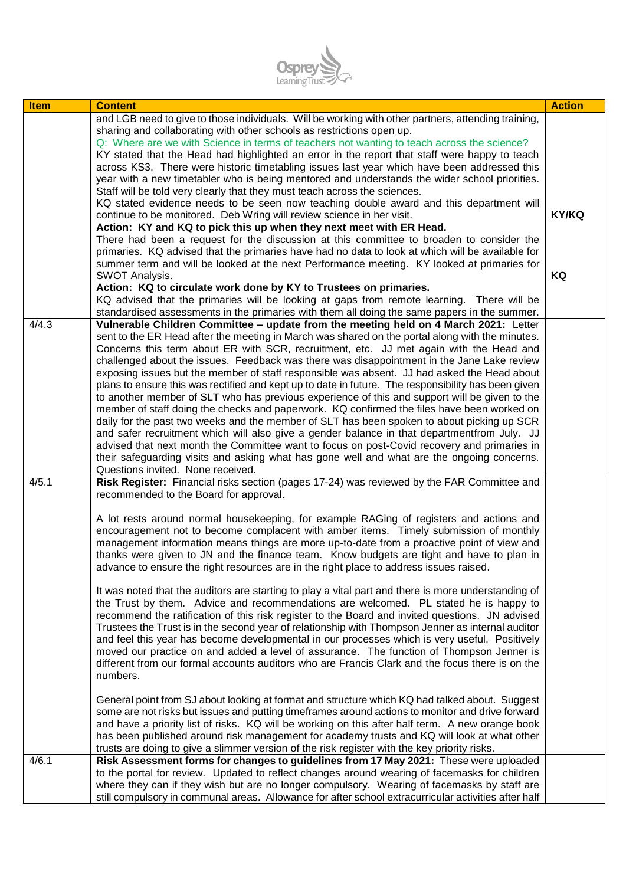

| <b>Item</b> | <b>Content</b>                                                                                                                                                                              | <b>Action</b> |
|-------------|---------------------------------------------------------------------------------------------------------------------------------------------------------------------------------------------|---------------|
|             | and LGB need to give to those individuals. Will be working with other partners, attending training,                                                                                         |               |
|             | sharing and collaborating with other schools as restrictions open up.                                                                                                                       |               |
|             | Q: Where are we with Science in terms of teachers not wanting to teach across the science?<br>KY stated that the Head had highlighted an error in the report that staff were happy to teach |               |
|             | across KS3. There were historic timetabling issues last year which have been addressed this                                                                                                 |               |
|             | year with a new timetabler who is being mentored and understands the wider school priorities.                                                                                               |               |
|             | Staff will be told very clearly that they must teach across the sciences.                                                                                                                   |               |
|             | KQ stated evidence needs to be seen now teaching double award and this department will                                                                                                      |               |
|             | continue to be monitored. Deb Wring will review science in her visit.                                                                                                                       | <b>KY/KQ</b>  |
|             | Action: KY and KQ to pick this up when they next meet with ER Head.                                                                                                                         |               |
|             | There had been a request for the discussion at this committee to broaden to consider the                                                                                                    |               |
|             | primaries. KQ advised that the primaries have had no data to look at which will be available for                                                                                            |               |
|             | summer term and will be looked at the next Performance meeting. KY looked at primaries for                                                                                                  | KQ            |
|             | SWOT Analysis.<br>Action: KQ to circulate work done by KY to Trustees on primaries.                                                                                                         |               |
|             | KQ advised that the primaries will be looking at gaps from remote learning. There will be                                                                                                   |               |
|             | standardised assessments in the primaries with them all doing the same papers in the summer.                                                                                                |               |
| 4/4.3       | Vulnerable Children Committee - update from the meeting held on 4 March 2021: Letter                                                                                                        |               |
|             | sent to the ER Head after the meeting in March was shared on the portal along with the minutes.                                                                                             |               |
|             | Concerns this term about ER with SCR, recruitment, etc. JJ met again with the Head and                                                                                                      |               |
|             | challenged about the issues. Feedback was there was disappointment in the Jane Lake review                                                                                                  |               |
|             | exposing issues but the member of staff responsible was absent. JJ had asked the Head about                                                                                                 |               |
|             | plans to ensure this was rectified and kept up to date in future. The responsibility has been given                                                                                         |               |
|             | to another member of SLT who has previous experience of this and support will be given to the                                                                                               |               |
|             | member of staff doing the checks and paperwork. KQ confirmed the files have been worked on<br>daily for the past two weeks and the member of SLT has been spoken to about picking up SCR    |               |
|             | and safer recruitment which will also give a gender balance in that departmentfrom July. JJ                                                                                                 |               |
|             | advised that next month the Committee want to focus on post-Covid recovery and primaries in                                                                                                 |               |
|             | their safeguarding visits and asking what has gone well and what are the ongoing concerns.                                                                                                  |               |
|             | Questions invited. None received.                                                                                                                                                           |               |
| 4/5.1       | Risk Register: Financial risks section (pages 17-24) was reviewed by the FAR Committee and                                                                                                  |               |
|             | recommended to the Board for approval.                                                                                                                                                      |               |
|             |                                                                                                                                                                                             |               |
|             | A lot rests around normal housekeeping, for example RAGing of registers and actions and<br>encouragement not to become complacent with amber items. Timely submission of monthly            |               |
|             | management information means things are more up-to-date from a proactive point of view and                                                                                                  |               |
|             | thanks were given to JN and the finance team. Know budgets are tight and have to plan in                                                                                                    |               |
|             | advance to ensure the right resources are in the right place to address issues raised.                                                                                                      |               |
|             |                                                                                                                                                                                             |               |
|             | It was noted that the auditors are starting to play a vital part and there is more understanding of                                                                                         |               |
|             | the Trust by them. Advice and recommendations are welcomed. PL stated he is happy to                                                                                                        |               |
|             | recommend the ratification of this risk register to the Board and invited questions. JN advised                                                                                             |               |
|             | Trustees the Trust is in the second year of relationship with Thompson Jenner as internal auditor                                                                                           |               |
|             | and feel this year has become developmental in our processes which is very useful. Positively                                                                                               |               |
|             | moved our practice on and added a level of assurance. The function of Thompson Jenner is                                                                                                    |               |
|             | different from our formal accounts auditors who are Francis Clark and the focus there is on the<br>numbers.                                                                                 |               |
|             |                                                                                                                                                                                             |               |
|             | General point from SJ about looking at format and structure which KQ had talked about. Suggest                                                                                              |               |
|             | some are not risks but issues and putting timeframes around actions to monitor and drive forward                                                                                            |               |
|             | and have a priority list of risks. KQ will be working on this after half term. A new orange book                                                                                            |               |
|             | has been published around risk management for academy trusts and KQ will look at what other                                                                                                 |               |
|             | trusts are doing to give a slimmer version of the risk register with the key priority risks.                                                                                                |               |
| 4/6.1       | Risk Assessment forms for changes to guidelines from 17 May 2021: These were uploaded                                                                                                       |               |
|             | to the portal for review. Updated to reflect changes around wearing of facemasks for children                                                                                               |               |
|             | where they can if they wish but are no longer compulsory. Wearing of facemasks by staff are                                                                                                 |               |
|             | still compulsory in communal areas. Allowance for after school extracurricular activities after half                                                                                        |               |